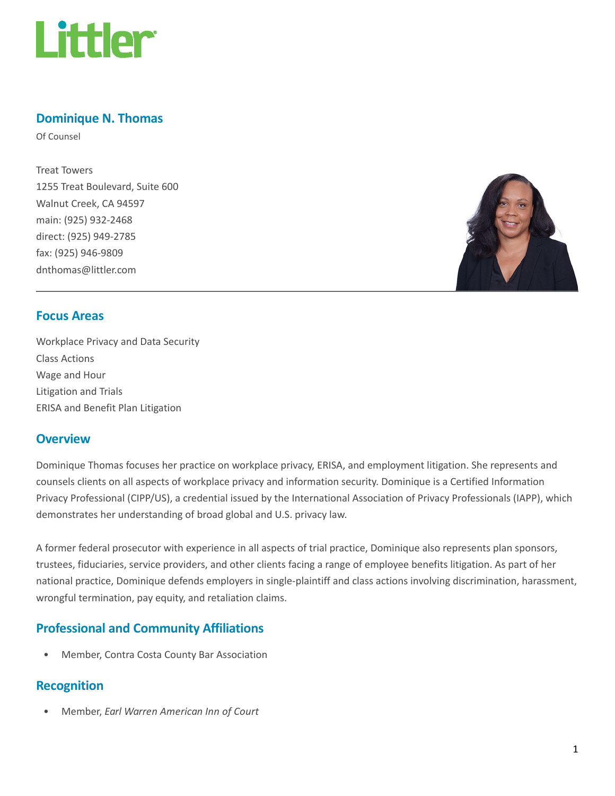

## Dominique N. Thomas

Of Counsel

Treat Towers 1255 Treat Boulevard, Suite 600 Walnut Creek, CA 94597 main: (925) 932-2468 direct: (925) 949-2785 fax: (925) 946-9809 dnthomas@littler.com



### Focus Areas

Workplace Privacy and Data Security Class Actions Wage and Hour Litigation and Trials ERISA and Benefit Plan Litigation

#### **Overview**

Dominique Thomas focuses her practice on workplace privacy, ERISA, and employment litigation. She represents and counsels clients on all aspects of workplace privacy and information security. Dominique is a Certified Information Privacy Professional (CIPP/US), a credential issued by the International Association of Privacy Professionals (IAPP), which demonstrates her understanding of broad global and U.S. privacy law.

A former federal prosecutor with experience in all aspects of trial practice, Dominique also represents plan sponsors, trustees, fiduciaries, service providers, and other clients facing a range of employee benefits litigation. As part of her national practice, Dominique defends employers in single-plaintiff and class actions involving discrimination, harassment, wrongful termination, pay equity, and retaliation claims.

## Professional and Community Affiliations

• Member, Contra Costa County Bar Association

#### Recognition

• Member, Earl Warren American Inn of Court